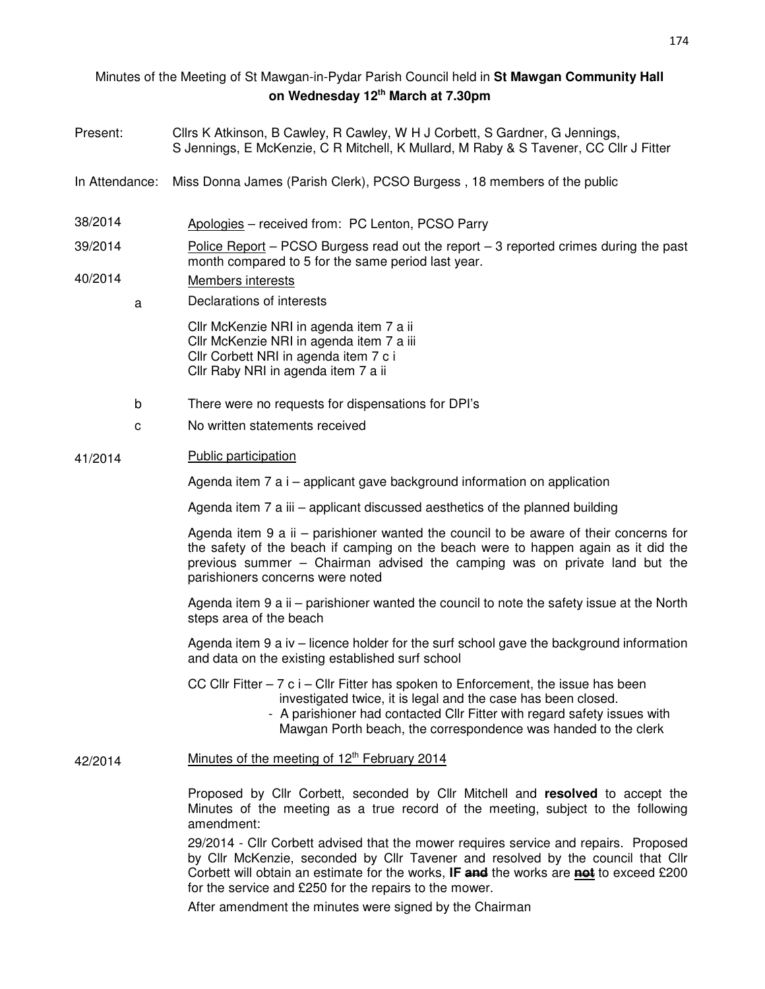# Minutes of the Meeting of St Mawgan-in-Pydar Parish Council held in **St Mawgan Community Hall on Wednesday 12th March at 7.30pm**

- Present: Cllrs K Atkinson, B Cawley, R Cawley, W H J Corbett, S Gardner, G Jennings, S Jennings, E McKenzie, C R Mitchell, K Mullard, M Raby & S Tavener, CC Cllr J Fitter
- In Attendance: Miss Donna James (Parish Clerk), PCSO Burgess , 18 members of the public
- 38/2014 Apologies received from: PC Lenton, PCSO Parry
- 39/2014 Police Report PCSO Burgess read out the report 3 reported crimes during the past month compared to 5 for the same period last year.

# 40/2014 Members interests

a Declarations of interests

Cllr McKenzie NRI in agenda item 7 a ii Cllr McKenzie NRI in agenda item 7 a iii Cllr Corbett NRI in agenda item 7 c i Cllr Raby NRI in agenda item 7 a ii

- b There were no requests for dispensations for DPI's
- c No written statements received

#### 41/2014 Public participation

Agenda item 7 a i – applicant gave background information on application

Agenda item 7 a iii – applicant discussed aesthetics of the planned building

Agenda item 9 a ii – parishioner wanted the council to be aware of their concerns for the safety of the beach if camping on the beach were to happen again as it did the previous summer – Chairman advised the camping was on private land but the parishioners concerns were noted

Agenda item 9 a ii – parishioner wanted the council to note the safety issue at the North steps area of the beach

Agenda item 9 a iv – licence holder for the surf school gave the background information and data on the existing established surf school

CC Cllr Fitter  $-7$  c i  $-$  Cllr Fitter has spoken to Enforcement, the issue has been investigated twice, it is legal and the case has been closed.

 - A parishioner had contacted Cllr Fitter with regard safety issues with Mawgan Porth beach, the correspondence was handed to the clerk

#### 42/2014 Minutes of the meeting of  $12<sup>th</sup>$  February 2014

Proposed by Cllr Corbett, seconded by Cllr Mitchell and **resolved** to accept the Minutes of the meeting as a true record of the meeting, subject to the following amendment:

29/2014 - Cllr Corbett advised that the mower requires service and repairs. Proposed by Cllr McKenzie, seconded by Cllr Tavener and resolved by the council that Cllr Corbett will obtain an estimate for the works, **IF and** the works are **not** to exceed £200 for the service and £250 for the repairs to the mower.

After amendment the minutes were signed by the Chairman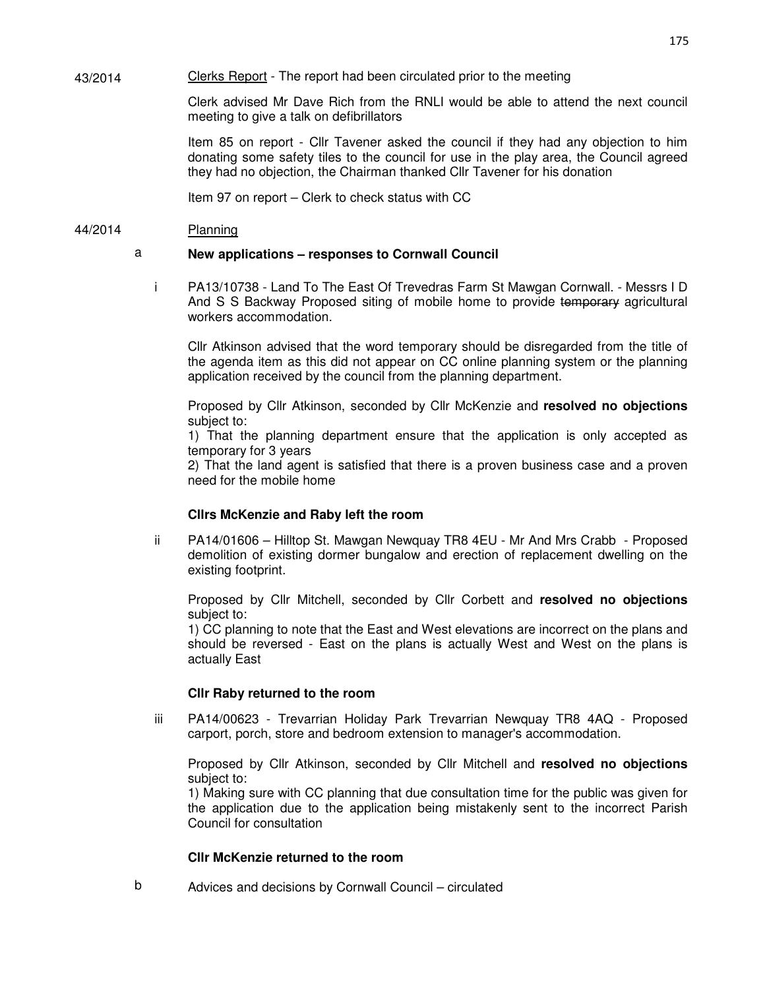43/2014 Clerks Report - The report had been circulated prior to the meeting

> Clerk advised Mr Dave Rich from the RNLI would be able to attend the next council meeting to give a talk on defibrillators

> Item 85 on report - Cllr Tavener asked the council if they had any objection to him donating some safety tiles to the council for use in the play area, the Council agreed they had no objection, the Chairman thanked Cllr Tavener for his donation

Item 97 on report – Clerk to check status with CC

## 44/2014 Planning

# a **New applications – responses to Cornwall Council**

i PA13/10738 - Land To The East Of Trevedras Farm St Mawgan Cornwall. - Messrs I D And S S Backway Proposed siting of mobile home to provide temporary agricultural workers accommodation.

Cllr Atkinson advised that the word temporary should be disregarded from the title of the agenda item as this did not appear on CC online planning system or the planning application received by the council from the planning department.

Proposed by Cllr Atkinson, seconded by Cllr McKenzie and **resolved no objections** subject to:

1) That the planning department ensure that the application is only accepted as temporary for 3 years

2) That the land agent is satisfied that there is a proven business case and a proven need for the mobile home

# **Cllrs McKenzie and Raby left the room**

ii PA14/01606 – Hilltop St. Mawgan Newquay TR8 4EU - Mr And Mrs Crabb - Proposed demolition of existing dormer bungalow and erection of replacement dwelling on the existing footprint.

Proposed by Cllr Mitchell, seconded by Cllr Corbett and **resolved no objections** subject to:

1) CC planning to note that the East and West elevations are incorrect on the plans and should be reversed - East on the plans is actually West and West on the plans is actually East

# **Cllr Raby returned to the room**

iii PA14/00623 - Trevarrian Holiday Park Trevarrian Newquay TR8 4AQ - Proposed carport, porch, store and bedroom extension to manager's accommodation.

Proposed by Cllr Atkinson, seconded by Cllr Mitchell and **resolved no objections** subject to:

1) Making sure with CC planning that due consultation time for the public was given for the application due to the application being mistakenly sent to the incorrect Parish Council for consultation

# **Cllr McKenzie returned to the room**

b Advices and decisions by Cornwall Council – circulated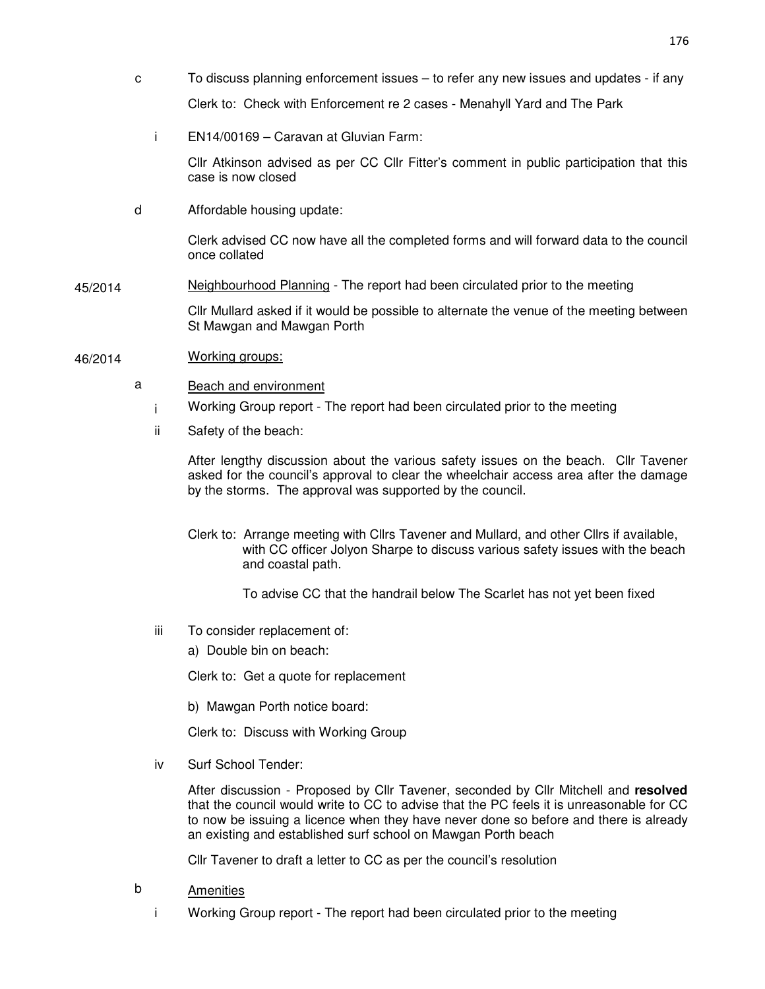- c To discuss planning enforcement issues to refer any new issues and updates if any Clerk to: Check with Enforcement re 2 cases - Menahyll Yard and The Park
	- i EN14/00169 Caravan at Gluvian Farm:

Cllr Atkinson advised as per CC Cllr Fitter's comment in public participation that this case is now closed

d Affordable housing update:

Clerk advised CC now have all the completed forms and will forward data to the council once collated

45/2014 Neighbourhood Planning - The report had been circulated prior to the meeting

Cllr Mullard asked if it would be possible to alternate the venue of the meeting between St Mawgan and Mawgan Porth

- 46/2014 Working groups:
	- a Beach and environment
		- i Working Group report The report had been circulated prior to the meeting
		- ii Safety of the beach:

After lengthy discussion about the various safety issues on the beach. Cllr Tavener asked for the council's approval to clear the wheelchair access area after the damage by the storms. The approval was supported by the council.

- Clerk to: Arrange meeting with Cllrs Tavener and Mullard, and other Cllrs if available, with CC officer Jolyon Sharpe to discuss various safety issues with the beach and coastal path.
	- To advise CC that the handrail below The Scarlet has not yet been fixed
- iii To consider replacement of:
	- a) Double bin on beach:

Clerk to: Get a quote for replacement

b) Mawgan Porth notice board:

Clerk to: Discuss with Working Group

iv Surf School Tender:

After discussion - Proposed by Cllr Tavener, seconded by Cllr Mitchell and **resolved** that the council would write to CC to advise that the PC feels it is unreasonable for CC to now be issuing a licence when they have never done so before and there is already an existing and established surf school on Mawgan Porth beach

Cllr Tavener to draft a letter to CC as per the council's resolution

- b Amenities
	- i Working Group report The report had been circulated prior to the meeting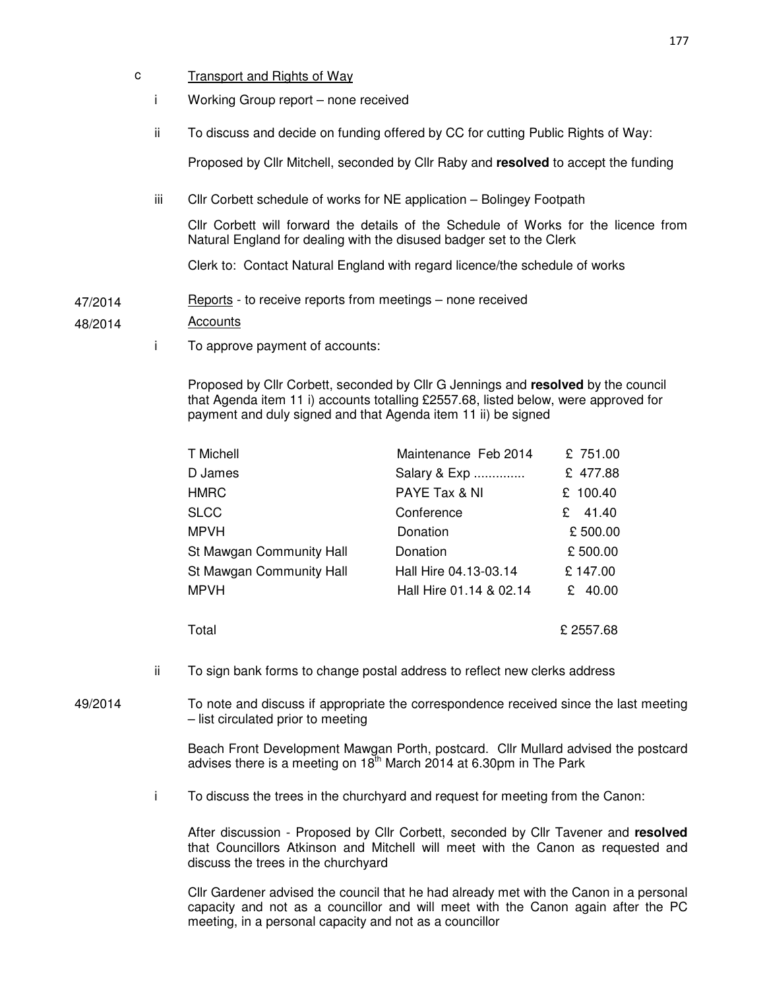- c Transport and Rights of Way
	- i Working Group report none received
	- ii To discuss and decide on funding offered by CC for cutting Public Rights of Way:

Proposed by Cllr Mitchell, seconded by Cllr Raby and **resolved** to accept the funding

iii Cllr Corbett schedule of works for NE application – Bolingey Footpath

Cllr Corbett will forward the details of the Schedule of Works for the licence from Natural England for dealing with the disused badger set to the Clerk

Clerk to: Contact Natural England with regard licence/the schedule of works

47/2014 Reports - to receive reports from meetings – none received

### 48/2014 Accounts

i To approve payment of accounts:

Proposed by Cllr Corbett, seconded by Cllr G Jennings and **resolved** by the council that Agenda item 11 i) accounts totalling £2557.68, listed below, were approved for payment and duly signed and that Agenda item 11 ii) be signed

| T Michell                | Maintenance Feb 2014    | £ 751.00    |
|--------------------------|-------------------------|-------------|
| D James                  | Salary & Exp            | £ 477.88    |
| <b>HMRC</b>              | PAYE Tax & NI           | £ 100.40    |
| <b>SLCC</b>              | Conference              | 41.40<br>£. |
| <b>MPVH</b>              | Donation                | £500.00     |
| St Mawgan Community Hall | Donation                | £500.00     |
| St Mawgan Community Hall | Hall Hire 04.13-03.14   | £147.00     |
| <b>MPVH</b>              | Hall Hire 01.14 & 02.14 | £ 40.00     |
|                          |                         |             |

- $Total$   $E$  2557.68
- ii To sign bank forms to change postal address to reflect new clerks address
- 49/2014 To note and discuss if appropriate the correspondence received since the last meeting – list circulated prior to meeting

Beach Front Development Mawgan Porth, postcard. Cllr Mullard advised the postcard advises there is a meeting on  $18<sup>th</sup>$  March 2014 at 6.30pm in The Park

i To discuss the trees in the churchyard and request for meeting from the Canon:

After discussion - Proposed by Cllr Corbett, seconded by Cllr Tavener and **resolved**  that Councillors Atkinson and Mitchell will meet with the Canon as requested and discuss the trees in the churchyard

Cllr Gardener advised the council that he had already met with the Canon in a personal capacity and not as a councillor and will meet with the Canon again after the PC meeting, in a personal capacity and not as a councillor